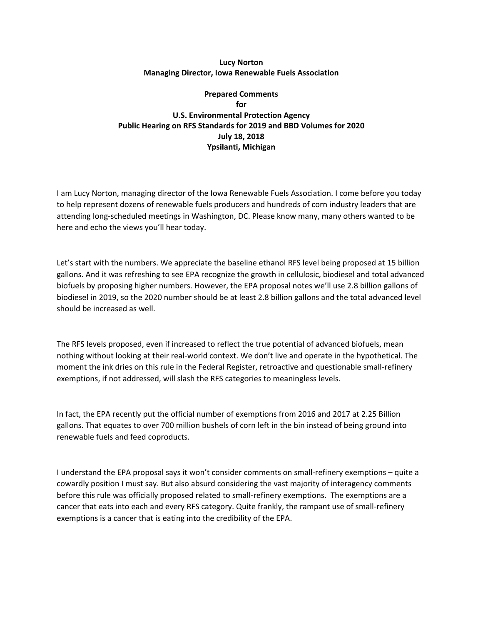## **Lucy Norton Managing Director, Iowa Renewable Fuels Association**

## **Prepared Comments for U.S. Environmental Protection Agency Public Hearing on RFS Standards for 2019 and BBD Volumes for 2020 July 18, 2018 Ypsilanti, Michigan**

I am Lucy Norton, managing director of the Iowa Renewable Fuels Association. I come before you today to help represent dozens of renewable fuels producers and hundreds of corn industry leaders that are attending long-scheduled meetings in Washington, DC. Please know many, many others wanted to be here and echo the views you'll hear today.

Let's start with the numbers. We appreciate the baseline ethanol RFS level being proposed at 15 billion gallons. And it was refreshing to see EPA recognize the growth in cellulosic, biodiesel and total advanced biofuels by proposing higher numbers. However, the EPA proposal notes we'll use 2.8 billion gallons of biodiesel in 2019, so the 2020 number should be at least 2.8 billion gallons and the total advanced level should be increased as well.

The RFS levels proposed, even if increased to reflect the true potential of advanced biofuels, mean nothing without looking at their real-world context. We don't live and operate in the hypothetical. The moment the ink dries on this rule in the Federal Register, retroactive and questionable small-refinery exemptions, if not addressed, will slash the RFS categories to meaningless levels.

In fact, the EPA recently put the official number of exemptions from 2016 and 2017 at 2.25 Billion gallons. That equates to over 700 million bushels of corn left in the bin instead of being ground into renewable fuels and feed coproducts.

I understand the EPA proposal says it won't consider comments on small-refinery exemptions – quite a cowardly position I must say. But also absurd considering the vast majority of interagency comments before this rule was officially proposed related to small-refinery exemptions. The exemptions are a cancer that eats into each and every RFS category. Quite frankly, the rampant use of small-refinery exemptions is a cancer that is eating into the credibility of the EPA.